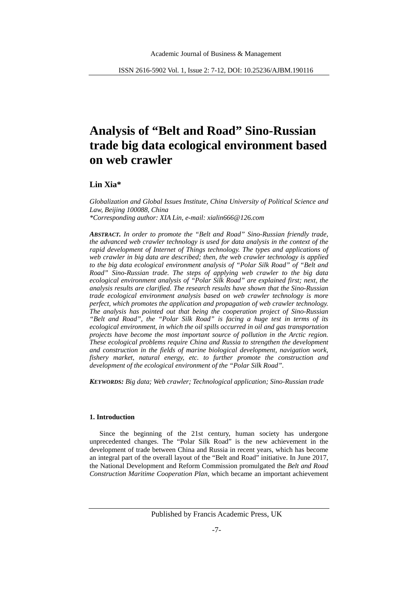# **Analysis of "Belt and Road" Sino-Russian trade big data ecological environment based on web crawler**

# **Lin Xia\***

*Globalization and Global Issues Institute, China University of Political Science and Law, Beijing 100088, China \*Corresponding author: XIA Lin, e-mail: xialin666@126.com*

*ABSTRACT. In order to promote the "Belt and Road" Sino-Russian friendly trade, the advanced web crawler technology is used for data analysis in the context of the rapid development of Internet of Things technology. The types and applications of web crawler in big data are described; then, the web crawler technology is applied to the big data ecological environment analysis of "Polar Silk Road" of "Belt and Road" Sino-Russian trade. The steps of applying web crawler to the big data ecological environment analysis of "Polar Silk Road" are explained first; next, the analysis results are clarified. The research results have shown that the Sino-Russian trade ecological environment analysis based on web crawler technology is more perfect, which promotes the application and propagation of web crawler technology. The analysis has pointed out that being the cooperation project of Sino-Russian "Belt and Road", the "Polar Silk Road" is facing a huge test in terms of its ecological environment, in which the oil spills occurred in oil and gas transportation projects have become the most important source of pollution in the Arctic region. These ecological problems require China and Russia to strengthen the development and construction in the fields of marine biological development, navigation work, fishery market, natural energy, etc. to further promote the construction and development of the ecological environment of the "Polar Silk Road".*

*KEYWORDS: Big data; Web crawler; Technological application; Sino-Russian trade*

## **1. Introduction**

Since the beginning of the 21st century, human society has undergone unprecedented changes. The "Polar Silk Road" is the new achievement in the development of trade between China and Russia in recent years, which has become an integral part of the overall layout of the "Belt and Road" initiative. In June 2017, the National Development and Reform Commission promulgated the *Belt and Road Construction Maritime Cooperation Plan*, which became an important achievement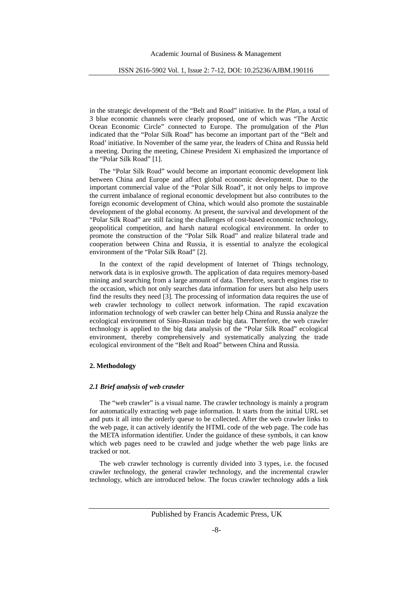in the strategic development of the "Belt and Road" initiative. In the *Plan*, a total of 3 blue economic channels were clearly proposed, one of which was "The Arctic Ocean Economic Circle" connected to Europe. The promulgation of the *Plan* indicated that the "Polar Silk Road" has become an important part of the "Belt and Road' initiative. In November of the same year, the leaders of China and Russia held a meeting. During the meeting, Chinese President Xi emphasized the importance of the "Polar Silk Road" [1].

The "Polar Silk Road" would become an important economic development link between China and Europe and affect global economic development. Due to the important commercial value of the "Polar Silk Road", it not only helps to improve the current imbalance of regional economic development but also contributes to the foreign economic development of China, which would also promote the sustainable development of the global economy. At present, the survival and development of the "Polar Silk Road" are still facing the challenges of cost-based economic technology, geopolitical competition, and harsh natural ecological environment. In order to promote the construction of the "Polar Silk Road" and realize bilateral trade and cooperation between China and Russia, it is essential to analyze the ecological environment of the "Polar Silk Road" [2].

In the context of the rapid development of Internet of Things technology, network data is in explosive growth. The application of data requires memory-based mining and searching from a large amount of data. Therefore, search engines rise to the occasion, which not only searches data information for users but also help users find the results they need [3]. The processing of information data requires the use of web crawler technology to collect network information. The rapid excavation information technology of web crawler can better help China and Russia analyze the ecological environment of Sino-Russian trade big data. Therefore, the web crawler technology is applied to the big data analysis of the "Polar Silk Road" ecological environment, thereby comprehensively and systematically analyzing the trade ecological environment of the "Belt and Road" between China and Russia.

## **2. Methodology**

#### *2.1 Brief analysis of web crawler*

The "web crawler" is a visual name. The crawler technology is mainly a program for automatically extracting web page information. It starts from the initial URL set and puts it all into the orderly queue to be collected. After the web crawler links to the web page, it can actively identify the HTML code of the web page. The code has the META information identifier. Under the guidance of these symbols, it can know which web pages need to be crawled and judge whether the web page links are tracked or not.

The web crawler technology is currently divided into 3 types, i.e. the focused crawler technology, the general crawler technology, and the incremental crawler technology, which are introduced below. The focus crawler technology adds a link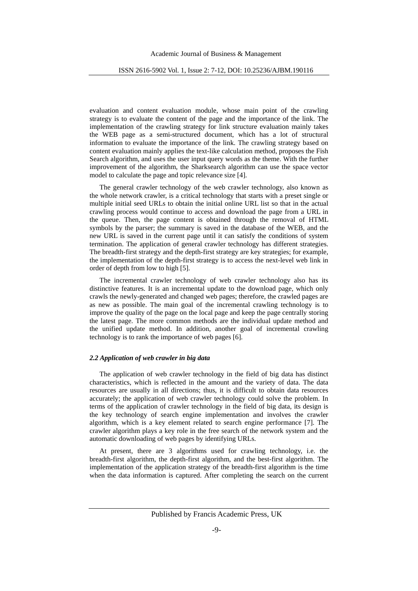evaluation and content evaluation module, whose main point of the crawling strategy is to evaluate the content of the page and the importance of the link. The implementation of the crawling strategy for link structure evaluation mainly takes the WEB page as a semi-structured document, which has a lot of structural information to evaluate the importance of the link. The crawling strategy based on content evaluation mainly applies the text-like calculation method, proposes the Fish Search algorithm, and uses the user input query words as the theme. With the further improvement of the algorithm, the Sharksearch algorithm can use the space vector model to calculate the page and topic relevance size [4].

The general crawler technology of the web crawler technology, also known as the whole network crawler, is a critical technology that starts with a preset single or multiple initial seed URLs to obtain the initial online URL list so that in the actual crawling process would continue to access and download the page from a URL in the queue. Then, the page content is obtained through the removal of HTML symbols by the parser; the summary is saved in the database of the WEB, and the new URL is saved in the current page until it can satisfy the conditions of system termination. The application of general crawler technology has different strategies. The breadth-first strategy and the depth-first strategy are key strategies; for example, the implementation of the depth-first strategy is to access the next-level web link in order of depth from low to high [5].

The incremental crawler technology of web crawler technology also has its distinctive features. It is an incremental update to the download page, which only crawls the newly-generated and changed web pages; therefore, the crawled pages are as new as possible. The main goal of the incremental crawling technology is to improve the quality of the page on the local page and keep the page centrally storing the latest page. The more common methods are the individual update method and the unified update method. In addition, another goal of incremental crawling technology is to rank the importance of web pages [6].

#### *2.2 Application of web crawler in big data*

The application of web crawler technology in the field of big data has distinct characteristics, which is reflected in the amount and the variety of data. The data resources are usually in all directions; thus, it is difficult to obtain data resources accurately; the application of web crawler technology could solve the problem. In terms of the application of crawler technology in the field of big data, its design is the key technology of search engine implementation and involves the crawler algorithm, which is a key element related to search engine performance [7]. The crawler algorithm plays a key role in the free search of the network system and the automatic downloading of web pages by identifying URLs.

At present, there are 3 algorithms used for crawling technology, i.e. the breadth-first algorithm, the depth-first algorithm, and the best-first algorithm. The implementation of the application strategy of the breadth-first algorithm is the time when the data information is captured. After completing the search on the current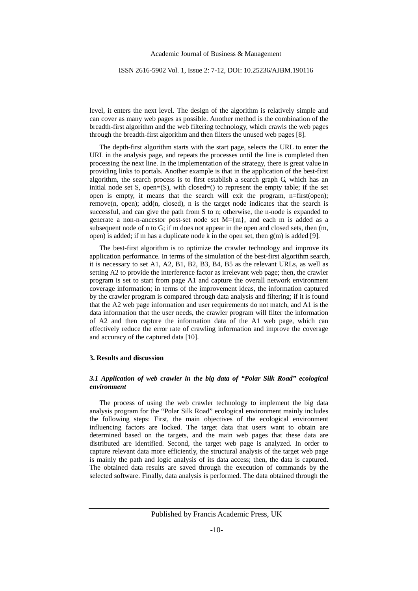level, it enters the next level. The design of the algorithm is relatively simple and can cover as many web pages as possible. Another method is the combination of the breadth-first algorithm and the web filtering technology, which crawls the web pages through the breadth-first algorithm and then filters the unused web pages [8].

The depth-first algorithm starts with the start page, selects the URL to enter the URL in the analysis page, and repeats the processes until the line is completed then processing the next line. In the implementation of the strategy, there is great value in providing links to portals. Another example is that in the application of the best-first algorithm, the search process is to first establish a search graph G, which has an initial node set S, open=(S), with closed=() to represent the empty table; if the set open is empty, it means that the search will exit the program, n=first(open); remove(n, open); add(n, closed), n is the target node indicates that the search is successful, and can give the path from S to n; otherwise, the n-node is expanded to generate a non-n-ancestor post-set node set  $M=\{m\}$ , and each m is added as a subsequent node of n to G; if m does not appear in the open and closed sets, then (m, open) is added; if m has a duplicate node k in the open set, then  $g(m)$  is added [9].

The best-first algorithm is to optimize the crawler technology and improve its application performance. In terms of the simulation of the best-first algorithm search, it is necessary to set A1, A2, B1, B2, B3, B4, B5 as the relevant URLs, as well as setting A2 to provide the interference factor as irrelevant web page; then, the crawler program is set to start from page A1 and capture the overall network environment coverage information; in terms of the improvement ideas, the information captured by the crawler program is compared through data analysis and filtering; if it is found that the A2 web page information and user requirements do not match, and A1 is the data information that the user needs, the crawler program will filter the information of A2 and then capture the information data of the A1 web page, which can effectively reduce the error rate of crawling information and improve the coverage and accuracy of the captured data [10].

# **3. Results and discussion**

## *3.1 Application of web crawler in the big data of "Polar Silk Road" ecological environment*

The process of using the web crawler technology to implement the big data analysis program for the "Polar Silk Road" ecological environment mainly includes the following steps: First, the main objectives of the ecological environment influencing factors are locked. The target data that users want to obtain are determined based on the targets, and the main web pages that these data are distributed are identified. Second, the target web page is analyzed. In order to capture relevant data more efficiently, the structural analysis of the target web page is mainly the path and logic analysis of its data access; then, the data is captured. The obtained data results are saved through the execution of commands by the selected software. Finally, data analysis is performed. The data obtained through the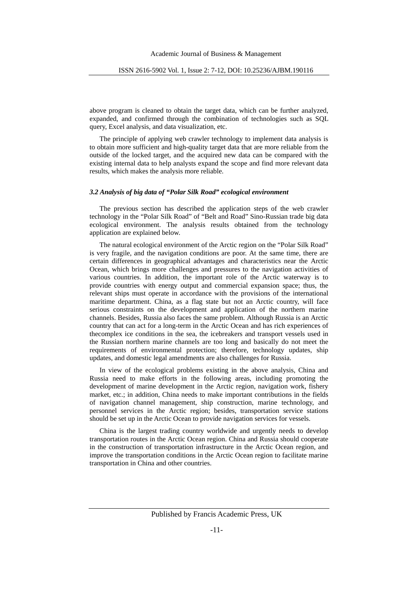above program is cleaned to obtain the target data, which can be further analyzed, expanded, and confirmed through the combination of technologies such as SQL query, Excel analysis, and data visualization, etc.

The principle of applying web crawler technology to implement data analysis is to obtain more sufficient and high-quality target data that are more reliable from the outside of the locked target, and the acquired new data can be compared with the existing internal data to help analysts expand the scope and find more relevant data results, which makes the analysis more reliable.

## *3.2 Analysis of big data of "Polar Silk Road" ecological environment*

The previous section has described the application steps of the web crawler technology in the "Polar Silk Road" of "Belt and Road" Sino-Russian trade big data ecological environment. The analysis results obtained from the technology application are explained below.

The natural ecological environment of the Arctic region on the "Polar Silk Road" is very fragile, and the navigation conditions are poor. At the same time, there are certain differences in geographical advantages and characteristics near the Arctic Ocean, which brings more challenges and pressures to the navigation activities of various countries. In addition, the important role of the Arctic waterway is to provide countries with energy output and commercial expansion space; thus, the relevant ships must operate in accordance with the provisions of the international maritime department. China, as a flag state but not an Arctic country, will face serious constraints on the development and application of the northern marine channels. Besides, Russia also faces the same problem. Although Russia is an Arctic country that can act for a long-term in the Arctic Ocean and has rich experiences of thecomplex ice conditions in the sea, the icebreakers and transport vessels used in the Russian northern marine channels are too long and basically do not meet the requirements of environmental protection; therefore, technology updates, ship updates, and domestic legal amendments are also challenges for Russia.

In view of the ecological problems existing in the above analysis, China and Russia need to make efforts in the following areas, including promoting the development of marine development in the Arctic region, navigation work, fishery market, etc.; in addition, China needs to make important contributions in the fields of navigation channel management, ship construction, marine technology, and personnel services in the Arctic region; besides, transportation service stations should be set up in the Arctic Ocean to provide navigation services for vessels.

China is the largest trading country worldwide and urgently needs to develop transportation routes in the Arctic Ocean region. China and Russia should cooperate in the construction of transportation infrastructure in the Arctic Ocean region, and improve the transportation conditions in the Arctic Ocean region to facilitate marine transportation in China and other countries.